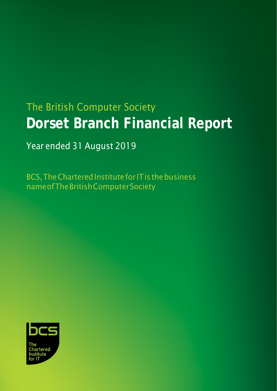# The British Computer Society **Dorset Branch Financial Report**

# Year ended 31 August 2019

BCS, The Chartered Institute for IT is the business nameofTheBritishComputerSociety

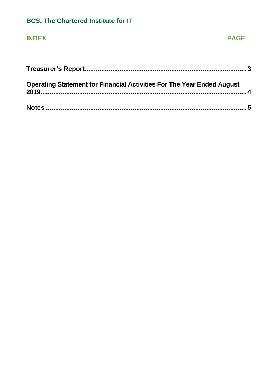# **BCS, The Chartered Institute for IT**

### **INDEX**

#### **PAGE**

| <b>Operating Statement for Financial Activities For The Year Ended August</b> |  |
|-------------------------------------------------------------------------------|--|
|                                                                               |  |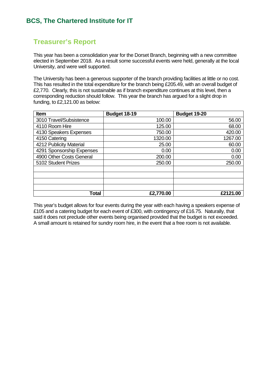#### **BCS, The Chartered Institute for IT**

#### <span id="page-2-0"></span>**Treasurer's Report**

This year has been a consolidation year for the Dorset Branch, beginning with a new committee elected in September 2018. As a result some successful events were held, generally at the local University, and were well supported.

The University has been a generous supporter of the branch providing facilities at little or no cost. This has resulted in the total expenditure for the branch being £205.49, with an overall budget of £2,770. Clearly, this is not sustainable as if branch expenditure continues at this level, then a corresponding reduction should follow. This year the branch has argued for a slight drop in funding, to £2,121.00 as below:

| <b>Item</b>               | <b>Budget 18-19</b> | Budget 19-20 |
|---------------------------|---------------------|--------------|
| 3010 Travel/Subsistence   | 100.00              | 56.00        |
| 4110 Room Hire            | 125.00              | 68.00        |
| 4130 Speakers Expenses    | 750.00              | 420.00       |
| 4150 Catering             | 1320.00             | 1267.00      |
| 4212 Publicity Material   | 25.00               | 60.00        |
| 4291 Sponsorship Expenses | 0.00                | 0.00         |
| 4900 Other Costs General  | 200.00              | 0.00         |
| 5102 Student Prizes       | 250.00              | 250.00       |
|                           |                     |              |
|                           |                     |              |
|                           |                     |              |
|                           |                     |              |
| Total                     | £2,770.00           | £2121.00     |

This year's budget allows for four events during the year with each having a speakers expense of £105 and a catering budget for each event of £300, with contingency of £16.75. Naturally, that said it does not preclude other events being organised provided that the budget is not exceeded. A small amount is retained for sundry room hire, in the event that a free room is not available.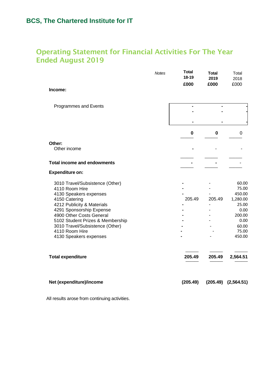# <span id="page-3-0"></span>Operating Statement for Financial Activities For The Year Ended August 2019

|                                                        | <b>Notes</b> | Total<br>18-19<br>£000 | <b>Total</b><br>2019<br>£000 | Total<br>2018<br>£000 |
|--------------------------------------------------------|--------------|------------------------|------------------------------|-----------------------|
| Income:                                                |              |                        |                              |                       |
| Programmes and Events                                  |              |                        |                              |                       |
|                                                        |              |                        |                              |                       |
|                                                        |              | $\bf{0}$               | 0                            | 0                     |
| Other:                                                 |              |                        |                              |                       |
| Other income                                           |              |                        |                              |                       |
| <b>Total income and endowments</b>                     |              |                        |                              |                       |
| <b>Expenditure on:</b>                                 |              |                        |                              |                       |
| 3010 Travel/Subsistence (Other)                        |              |                        |                              | 60.00                 |
| 4110 Room Hire                                         |              |                        |                              | 75.00                 |
| 4130 Speakers expenses                                 |              |                        |                              | 450.00                |
| 4150 Catering                                          |              | 205.49                 | 205.49                       | 1,280.00              |
| 4212 Publicity & Materials<br>4291 Sponsorship Expense |              |                        |                              | 25.00<br>0.00         |
| 4900 Other Costs General                               |              |                        |                              | 200.00                |
| 5102 Student Prizes & Membership                       |              |                        |                              | 0.00                  |
| 3010 Travel/Subsistence (Other)                        |              |                        |                              | 60.00                 |
| 4110 Room Hire                                         |              |                        |                              | 75.00                 |
| 4130 Speakers expenses                                 |              |                        |                              | 450.00                |
| <b>Total expenditure</b>                               |              | 205.49                 | 205.49                       | 2,564.51              |
| Net (expenditure)/income                               |              | (205.49)               | (205.49)                     | (2,564.51)            |

All results arose from continuing activities.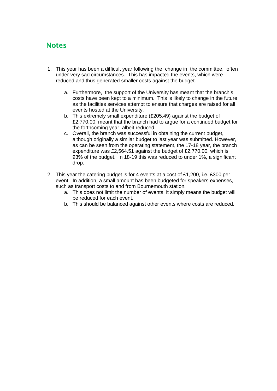#### <span id="page-4-0"></span>**Notes**

- 1. This year has been a difficult year following the change in the committee, often under very sad circumstances. This has impacted the events, which were reduced and thus generated smaller costs against the budget.
	- a. Furthermore, the support of the University has meant that the branch's costs have been kept to a minimum. This is likely to change in the future as the facilities services attempt to ensure that charges are raised for all events hosted at the University.
	- b. This extremely small expenditure (£205.49) against the budget of £2,770.00, meant that the branch had to argue for a continued budget for the forthcoming year, albeit reduced.
	- c. Overall, the branch was successful in obtaining the current budget, although originally a similar budget to last year was submitted. However, as can be seen from the operating statement, the 17-18 year, the branch expenditure was £2,564.51 against the budget of £2,770.00, which is 93% of the budget. In 18-19 this was reduced to under 1%, a significant drop.
- 2. This year the catering budget is for 4 events at a cost of £1,200, i.e. £300 per event. In addition, a small amount has been budgeted for speakers expenses, such as transport costs to and from Bournemouth station.
	- a. This does not limit the number of events, it simply means the budget will be reduced for each event.
	- b. This should be balanced against other events where costs are reduced.